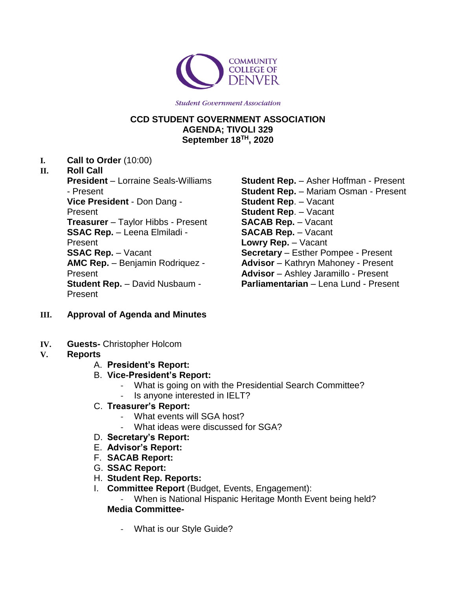

**Student Government Association** 

## **CCD STUDENT GOVERNMENT ASSOCIATION AGENDA; TIVOLI 329 September 18TH, 2020**

**I. Call to Order** (10:00)

#### **II. Roll Call**

**President** – Lorraine Seals-Williams - Present **Vice President** - Don Dang - Present **Treasurer** – Taylor Hibbs - Present **SSAC Rep.** – Leena Elmiladi - Present **SSAC Rep.** – Vacant **AMC Rep.** – Benjamin Rodriquez - Present **Student Rep.** – David Nusbaum - Present

- **Student Rep.** Asher Hoffman Present **Student Rep.** – Mariam Osman - Present **Student Rep**. – Vacant **Student Rep**. – Vacant **SACAB Rep.** – Vacant **SACAB Rep.** – Vacant **Lowry Rep.** – Vacant **Secretary** – Esther Pompee - Present **Advisor** – Kathryn Mahoney - Present **Advisor** – Ashley Jaramillo - Present **Parliamentarian** – Lena Lund - Present
- **III. Approval of Agenda and Minutes**
- **IV. Guests-** Christopher Holcom

#### **V. Reports**

- A. **President's Report:**
- B. **Vice-President's Report:**
	- What is going on with the Presidential Search Committee?
	- Is anyone interested in IELT?
- C. **Treasurer's Report:**
	- What events will SGA host?
		- What ideas were discussed for SGA?
- D. **Secretary's Report:**
- E. **Advisor's Report:**
- F. **SACAB Report:**
- G. **SSAC Report:**
- H. **Student Rep. Reports:**
- I. **Committee Report** (Budget, Events, Engagement):

When is National Hispanic Heritage Month Event being held? **Media Committee-**

- What is our Style Guide?